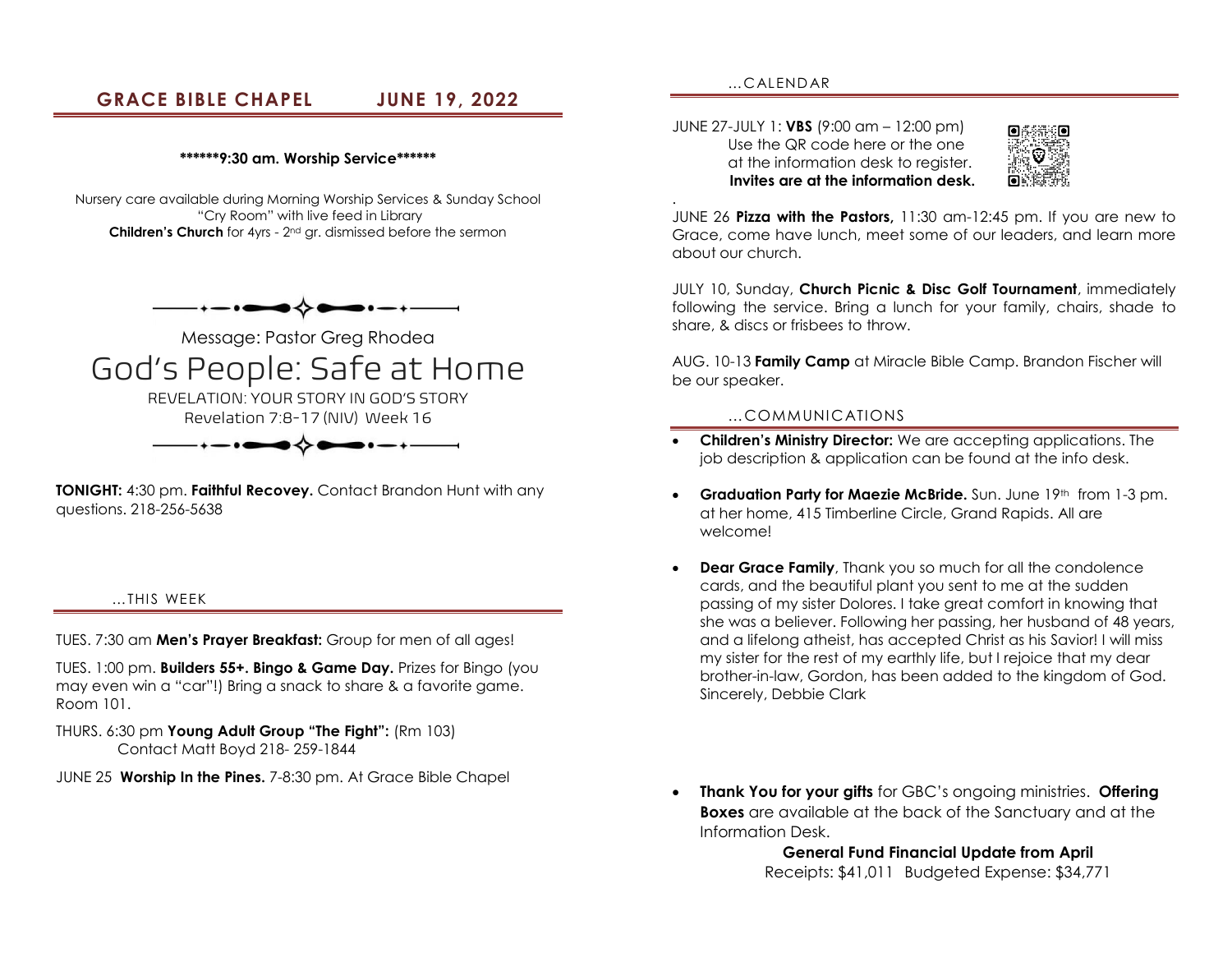# **GRACE BIBLE CHAPEL JUNE 19, 2022**

#### **\*\*\*\*\*\*9:30 am. Worship Service\*\*\*\*\*\***

Nursery care available during Morning Worship Services & Sunday School "Cry Room" with live feed in Library **Children's Church** for 4yrs - 2nd gr. dismissed before the sermon



Message: Pastor Greg Rhodea God's People: Safe at Home REVELATION: YOUR STORY IN GOD'S STORY Revelation 7:8-17 (NIV) Week 16

**TONIGHT:** 4:30 pm. **Faithful Recovey.** Contact Brandon Hunt with any questions. 218-256-5638

#### …THIS WEEK

TUES. 7:30 am **Men's Prayer Breakfast:** Group for men of all ages!

TUES. 1:00 pm. **Builders 55+. Bingo & Game Day.** Prizes for Bingo (you may even win a "car"!) Bring a snack to share & a favorite game. Room 101.

### THURS. 6:30 pm **Young Adult Group "The Fight":** (Rm 103) Contact Matt Boyd 218- 259-1844

JUNE 25 **Worship In the Pines.** 7-8:30 pm. At Grace Bible Chapel

…CALEND AR

.

JUNE 27-JULY 1: **VBS** (9:00 am – 12:00 pm) Use the QR code here or the one at the information desk to register. **Invites are at the information desk.**



JUNE 26 **Pizza with the Pastors,** 11:30 am-12:45 pm. If you are new to Grace, come have lunch, meet some of our leaders, and learn more about our church.

JULY 10, Sunday, **Church Picnic & Disc Golf Tournament**, immediately following the service. Bring a lunch for your family, chairs, shade to share, & discs or frisbees to throw.

AUG. 10-13 **Family Camp** at Miracle Bible Camp. Brandon Fischer will be our speaker.

#### …COMMUNICATIONS

- **Children's Ministry Director:** We are accepting applications. The job description & application can be found at the info desk.
- **Graduation Party for Maezie McBride.** Sun. June 19th from 1-3 pm. at her home, 415 Timberline Circle, Grand Rapids. All are welcome!
- **Dear Grace Family**, Thank you so much for all the condolence cards, and the beautiful plant you sent to me at the sudden passing of my sister Dolores. I take great comfort in knowing that she was a believer. Following her passing, her husband of 48 years, and a lifelong atheist, has accepted Christ as his Savior! I will miss my sister for the rest of my earthly life, but I rejoice that my dear brother-in-law, Gordon, has been added to the kingdom of God. Sincerely, Debbie Clark
- **Thank You for your gifts** for GBC's ongoing ministries. **Offering Boxes** are available at the back of the Sanctuary and at the Information Desk.

**General Fund Financial Update from April** Receipts: \$41,011 Budgeted Expense: \$34,771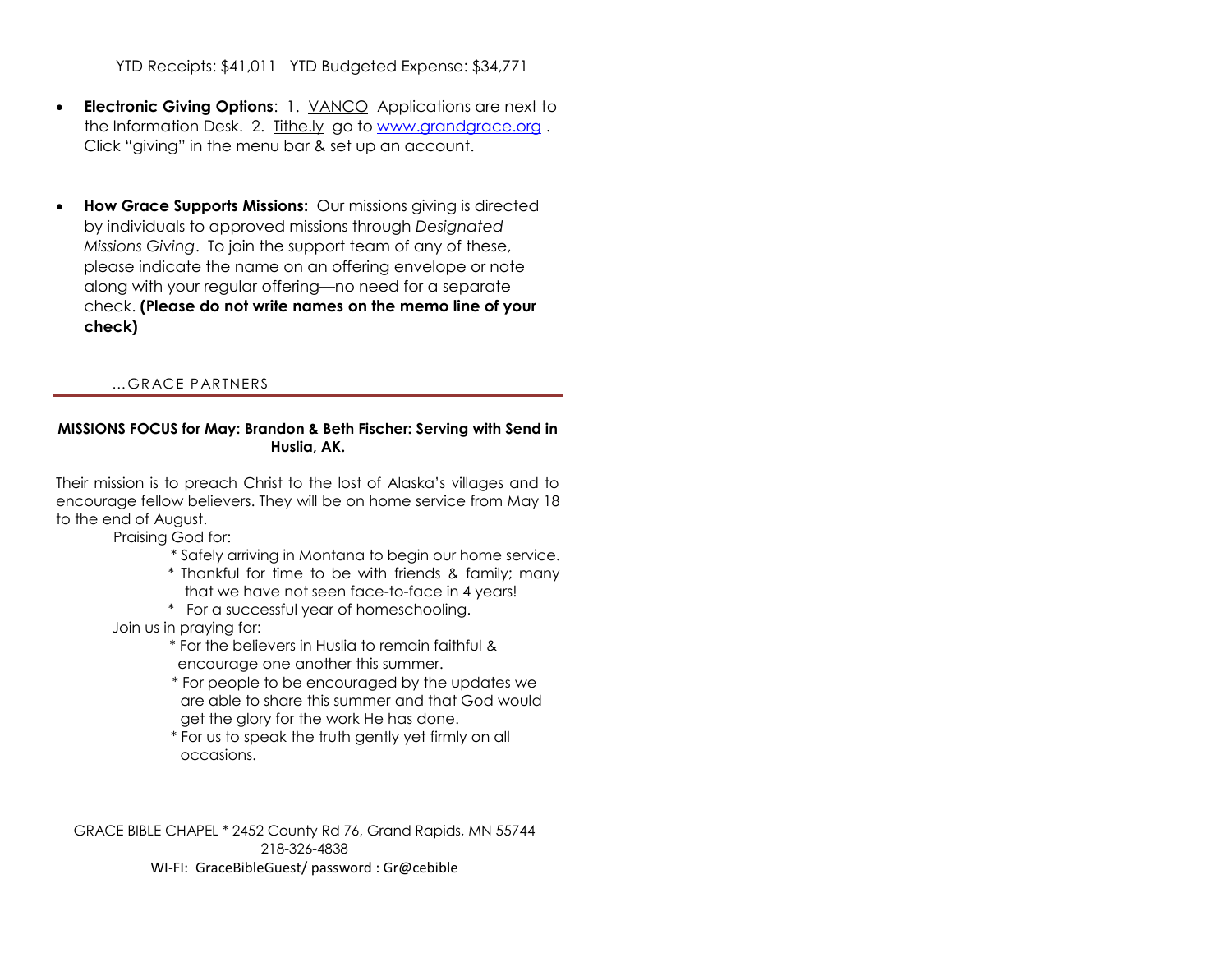YTD Receipts: \$41,011 YTD Budgeted Expense: \$34,771

- **Electronic Giving Options**: 1. VANCO Applications are next to the Information Desk. 2. Tithe.ly go to [www.grandgrace.org](http://www.grandgrace.org/) . Click "giving" in the menu bar & set up an account.
- **How Grace Supports Missions:** Our missions giving is directed by individuals to approved missions through *Designated Missions Giving*. To join the support team of any of these, please indicate the name on an offering envelope or note along with your regular offering—no need for a separate check. **(Please do not write names on the memo line of your check)**

## …GR ACE P ARTNERS

### **MISSIONS FOCUS for May: Brandon & Beth Fischer: Serving with Send in Huslia, AK.**

Their mission is to preach Christ to the lost of Alaska's villages and to encourage fellow believers. They will be on home service from May 18 to the end of August.

Praising God for:

- \* Safely arriving in Montana to begin our home service.
- \* Thankful for time to be with friends & family; many that we have not seen face-to-face in 4 years!
- \* For a successful year of homeschooling.

Join us in praying for:

- \* For the believers in Huslia to remain faithful & encourage one another this summer.
- \* For people to be encouraged by the updates we are able to share this summer and that God would get the glory for the work He has done.
- \* For us to speak the truth gently yet firmly on all occasions.

GRACE BIBLE CHAPEL \* 2452 County Rd 76, Grand Rapids, MN 55744 218-326-4838 WI-FI: GraceBibleGuest/ password : Gr@cebible